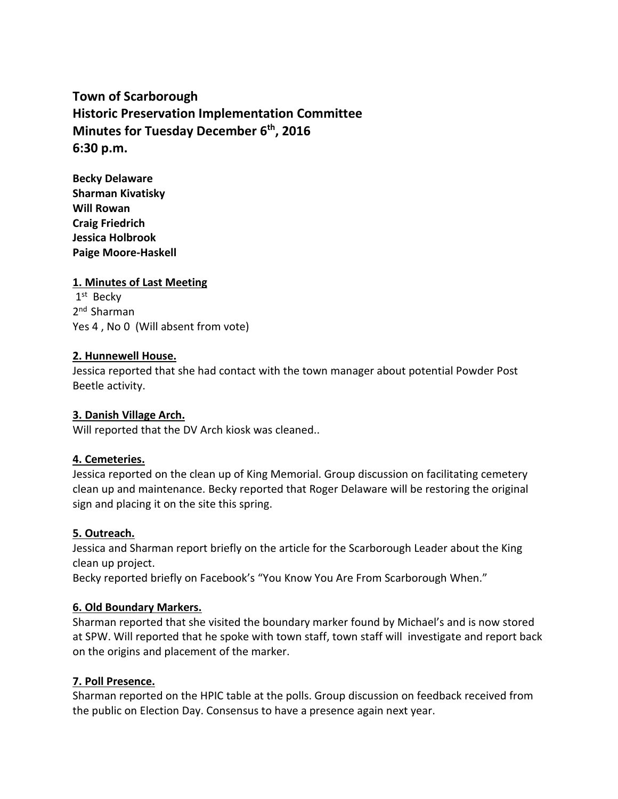# **Town of Scarborough Historic Preservation Implementation Committee Minutes for Tuesday December 6 th , 2016 6:30 p.m.**

**Becky Delaware Sharman Kivatisky Will Rowan Craig Friedrich Jessica Holbrook Paige Moore-Haskell**

## **1. Minutes of Last Meeting**

1 st Becky 2 nd Sharman Yes 4 , No 0 (Will absent from vote)

#### **2. Hunnewell House.**

Jessica reported that she had contact with the town manager about potential Powder Post Beetle activity.

#### **3. Danish Village Arch.**

Will reported that the DV Arch kiosk was cleaned..

#### **4. Cemeteries.**

Jessica reported on the clean up of King Memorial. Group discussion on facilitating cemetery clean up and maintenance. Becky reported that Roger Delaware will be restoring the original sign and placing it on the site this spring.

#### **5. Outreach.**

Jessica and Sharman report briefly on the article for the Scarborough Leader about the King clean up project.

Becky reported briefly on Facebook's "You Know You Are From Scarborough When."

#### **6. Old Boundary Markers.**

Sharman reported that she visited the boundary marker found by Michael's and is now stored at SPW. Will reported that he spoke with town staff, town staff will investigate and report back on the origins and placement of the marker.

#### **7. Poll Presence.**

Sharman reported on the HPIC table at the polls. Group discussion on feedback received from the public on Election Day.Consensus to have a presence again next year.